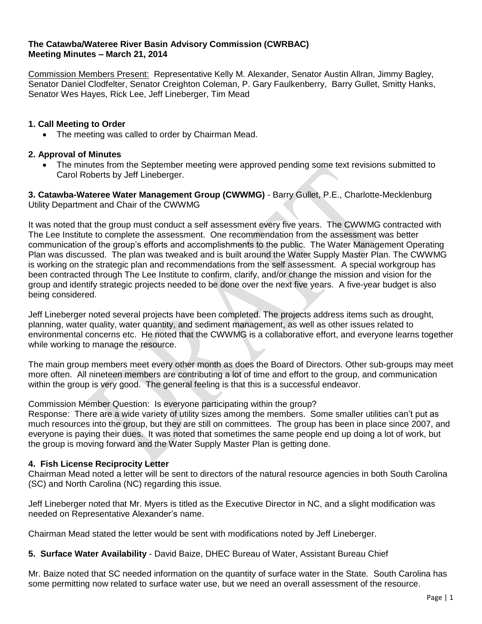#### **The Catawba/Wateree River Basin Advisory Commission (CWRBAC) Meeting Minutes – March 21, 2014**

Commission Members Present: Representative Kelly M. Alexander, Senator Austin Allran, Jimmy Bagley, Senator Daniel Clodfelter, Senator Creighton Coleman, P. Gary Faulkenberry, Barry Gullet, Smitty Hanks, Senator Wes Hayes, Rick Lee, Jeff Lineberger, Tim Mead

# **1. Call Meeting to Order**

• The meeting was called to order by Chairman Mead.

## **2. Approval of Minutes**

 The minutes from the September meeting were approved pending some text revisions submitted to Carol Roberts by Jeff Lineberger.

**3. Catawba-Wateree Water Management Group (CWWMG)** - Barry Gullet, P.E., Charlotte-Mecklenburg Utility Department and Chair of the CWWMG

It was noted that the group must conduct a self assessment every five years. The CWWMG contracted with The Lee Institute to complete the assessment. One recommendation from the assessment was better communication of the group's efforts and accomplishments to the public. The Water Management Operating Plan was discussed. The plan was tweaked and is built around the Water Supply Master Plan. The CWWMG is working on the strategic plan and recommendations from the self assessment. A special workgroup has been contracted through The Lee Institute to confirm, clarify, and/or change the mission and vision for the group and identify strategic projects needed to be done over the next five years. A five-year budget is also being considered.

Jeff Lineberger noted several projects have been completed. The projects address items such as drought, planning, water quality, water quantity, and sediment management, as well as other issues related to environmental concerns etc. He noted that the CWWMG is a collaborative effort, and everyone learns together while working to manage the resource.

The main group members meet every other month as does the Board of Directors. Other sub-groups may meet more often. All nineteen members are contributing a lot of time and effort to the group, and communication within the group is very good. The general feeling is that this is a successful endeavor.

Commission Member Question: Is everyone participating within the group?

Response: There are a wide variety of utility sizes among the members. Some smaller utilities can't put as much resources into the group, but they are still on committees. The group has been in place since 2007, and everyone is paying their dues. It was noted that sometimes the same people end up doing a lot of work, but the group is moving forward and the Water Supply Master Plan is getting done.

## **4. Fish License Reciprocity Letter**

Chairman Mead noted a letter will be sent to directors of the natural resource agencies in both South Carolina (SC) and North Carolina (NC) regarding this issue.

Jeff Lineberger noted that Mr. Myers is titled as the Executive Director in NC, and a slight modification was needed on Representative Alexander's name.

Chairman Mead stated the letter would be sent with modifications noted by Jeff Lineberger.

#### **5. Surface Water Availability** - David Baize, DHEC Bureau of Water, Assistant Bureau Chief

Mr. Baize noted that SC needed information on the quantity of surface water in the State. South Carolina has some permitting now related to surface water use, but we need an overall assessment of the resource.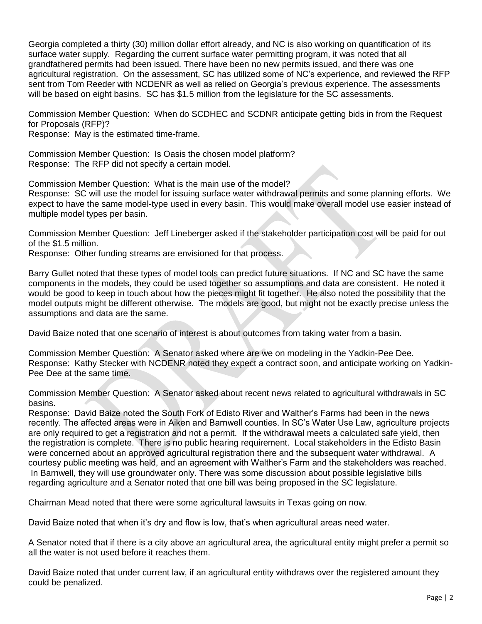Georgia completed a thirty (30) million dollar effort already, and NC is also working on quantification of its surface water supply. Regarding the current surface water permitting program, it was noted that all grandfathered permits had been issued. There have been no new permits issued, and there was one agricultural registration. On the assessment, SC has utilized some of NC's experience, and reviewed the RFP sent from Tom Reeder with NCDENR as well as relied on Georgia's previous experience. The assessments will be based on eight basins. SC has \$1.5 million from the legislature for the SC assessments.

Commission Member Question: When do SCDHEC and SCDNR anticipate getting bids in from the Request for Proposals (RFP)?

Response: May is the estimated time-frame.

Commission Member Question: Is Oasis the chosen model platform? Response: The RFP did not specify a certain model.

Commission Member Question: What is the main use of the model?

Response: SC will use the model for issuing surface water withdrawal permits and some planning efforts. We expect to have the same model-type used in every basin. This would make overall model use easier instead of multiple model types per basin.

Commission Member Question: Jeff Lineberger asked if the stakeholder participation cost will be paid for out of the \$1.5 million.

Response: Other funding streams are envisioned for that process.

Barry Gullet noted that these types of model tools can predict future situations. If NC and SC have the same components in the models, they could be used together so assumptions and data are consistent. He noted it would be good to keep in touch about how the pieces might fit together. He also noted the possibility that the model outputs might be different otherwise. The models are good, but might not be exactly precise unless the assumptions and data are the same.

David Baize noted that one scenario of interest is about outcomes from taking water from a basin.

Commission Member Question: A Senator asked where are we on modeling in the Yadkin-Pee Dee. Response: Kathy Stecker with NCDENR noted they expect a contract soon, and anticipate working on Yadkin-Pee Dee at the same time.

Commission Member Question: A Senator asked about recent news related to agricultural withdrawals in SC basins.

Response: David Baize noted the South Fork of Edisto River and Walther's Farms had been in the news recently. The affected areas were in Aiken and Barnwell counties. In SC's Water Use Law, agriculture projects are only required to get a registration and not a permit. If the withdrawal meets a calculated safe yield, then the registration is complete. There is no public hearing requirement. Local stakeholders in the Edisto Basin were concerned about an approved agricultural registration there and the subsequent water withdrawal. A courtesy public meeting was held, and an agreement with Walther's Farm and the stakeholders was reached. In Barnwell, they will use groundwater only. There was some discussion about possible legislative bills regarding agriculture and a Senator noted that one bill was being proposed in the SC legislature.

Chairman Mead noted that there were some agricultural lawsuits in Texas going on now.

David Baize noted that when it's dry and flow is low, that's when agricultural areas need water.

A Senator noted that if there is a city above an agricultural area, the agricultural entity might prefer a permit so all the water is not used before it reaches them.

David Baize noted that under current law, if an agricultural entity withdraws over the registered amount they could be penalized.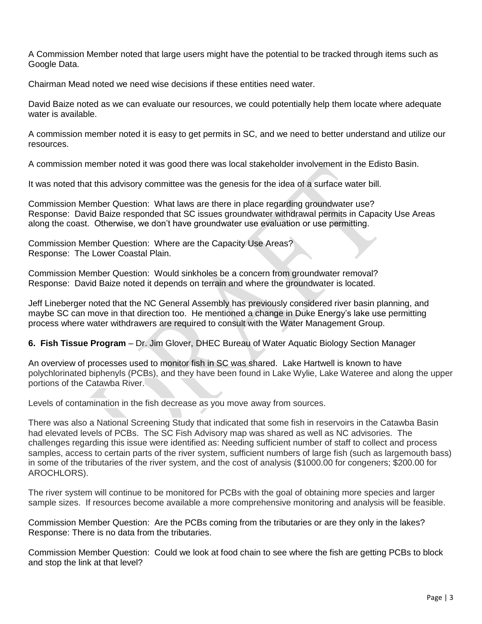A Commission Member noted that large users might have the potential to be tracked through items such as Google Data.

Chairman Mead noted we need wise decisions if these entities need water.

David Baize noted as we can evaluate our resources, we could potentially help them locate where adequate water is available.

A commission member noted it is easy to get permits in SC, and we need to better understand and utilize our resources.

A commission member noted it was good there was local stakeholder involvement in the Edisto Basin.

It was noted that this advisory committee was the genesis for the idea of a surface water bill.

Commission Member Question: What laws are there in place regarding groundwater use? Response: David Baize responded that SC issues groundwater withdrawal permits in Capacity Use Areas along the coast. Otherwise, we don't have groundwater use evaluation or use permitting.

Commission Member Question: Where are the Capacity Use Areas? Response: The Lower Coastal Plain.

Commission Member Question: Would sinkholes be a concern from groundwater removal? Response: David Baize noted it depends on terrain and where the groundwater is located.

Jeff Lineberger noted that the NC General Assembly has previously considered river basin planning, and maybe SC can move in that direction too. He mentioned a change in Duke Energy's lake use permitting process where water withdrawers are required to consult with the Water Management Group.

**6. Fish Tissue Program** – Dr. Jim Glover, DHEC Bureau of Water Aquatic Biology Section Manager

An overview of processes used to monitor fish in SC was shared. Lake Hartwell is known to have polychlorinated biphenyls (PCBs), and they have been found in Lake Wylie, Lake Wateree and along the upper portions of the Catawba River.

Levels of contamination in the fish decrease as you move away from sources.

There was also a National Screening Study that indicated that some fish in reservoirs in the Catawba Basin had elevated levels of PCBs. The SC Fish Advisory map was shared as well as NC advisories. The challenges regarding this issue were identified as: Needing sufficient number of staff to collect and process samples, access to certain parts of the river system, sufficient numbers of large fish (such as largemouth bass) in some of the tributaries of the river system, and the cost of analysis (\$1000.00 for congeners; \$200.00 for AROCHLORS).

The river system will continue to be monitored for PCBs with the goal of obtaining more species and larger sample sizes. If resources become available a more comprehensive monitoring and analysis will be feasible.

Commission Member Question: Are the PCBs coming from the tributaries or are they only in the lakes? Response: There is no data from the tributaries.

Commission Member Question: Could we look at food chain to see where the fish are getting PCBs to block and stop the link at that level?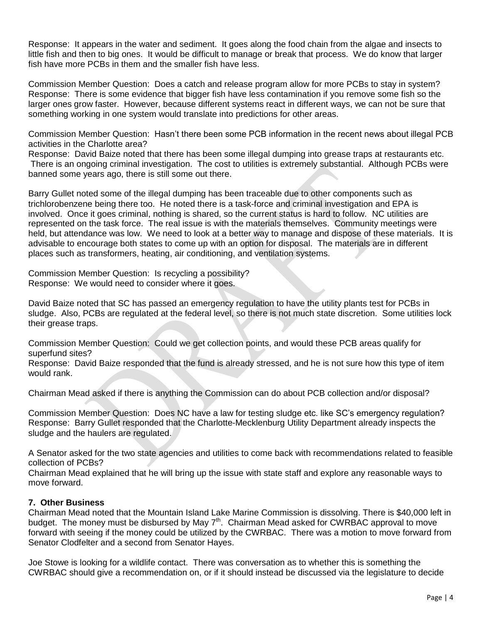Response: It appears in the water and sediment. It goes along the food chain from the algae and insects to little fish and then to big ones. It would be difficult to manage or break that process. We do know that larger fish have more PCBs in them and the smaller fish have less.

Commission Member Question: Does a catch and release program allow for more PCBs to stay in system? Response: There is some evidence that bigger fish have less contamination if you remove some fish so the larger ones grow faster. However, because different systems react in different ways, we can not be sure that something working in one system would translate into predictions for other areas.

Commission Member Question: Hasn't there been some PCB information in the recent news about illegal PCB activities in the Charlotte area?

Response: David Baize noted that there has been some illegal dumping into grease traps at restaurants etc. There is an ongoing criminal investigation. The cost to utilities is extremely substantial. Although PCBs were banned some years ago, there is still some out there.

Barry Gullet noted some of the illegal dumping has been traceable due to other components such as trichlorobenzene being there too. He noted there is a task-force and criminal investigation and EPA is involved. Once it goes criminal, nothing is shared, so the current status is hard to follow. NC utilities are represented on the task force. The real issue is with the materials themselves. Community meetings were held, but attendance was low. We need to look at a better way to manage and dispose of these materials. It is advisable to encourage both states to come up with an option for disposal. The materials are in different places such as transformers, heating, air conditioning, and ventilation systems.

Commission Member Question: Is recycling a possibility? Response: We would need to consider where it goes.

David Baize noted that SC has passed an emergency regulation to have the utility plants test for PCBs in sludge. Also, PCBs are regulated at the federal level, so there is not much state discretion. Some utilities lock their grease traps.

Commission Member Question: Could we get collection points, and would these PCB areas qualify for superfund sites?

Response: David Baize responded that the fund is already stressed, and he is not sure how this type of item would rank.

Chairman Mead asked if there is anything the Commission can do about PCB collection and/or disposal?

Commission Member Question: Does NC have a law for testing sludge etc. like SC's emergency regulation? Response: Barry Gullet responded that the Charlotte-Mecklenburg Utility Department already inspects the sludge and the haulers are regulated.

A Senator asked for the two state agencies and utilities to come back with recommendations related to feasible collection of PCBs?

Chairman Mead explained that he will bring up the issue with state staff and explore any reasonable ways to move forward.

## **7. Other Business**

Chairman Mead noted that the Mountain Island Lake Marine Commission is dissolving. There is \$40,000 left in budget. The money must be disbursed by May  $7<sup>th</sup>$ . Chairman Mead asked for CWRBAC approval to move forward with seeing if the money could be utilized by the CWRBAC. There was a motion to move forward from Senator Clodfelter and a second from Senator Hayes.

Joe Stowe is looking for a wildlife contact. There was conversation as to whether this is something the CWRBAC should give a recommendation on, or if it should instead be discussed via the legislature to decide